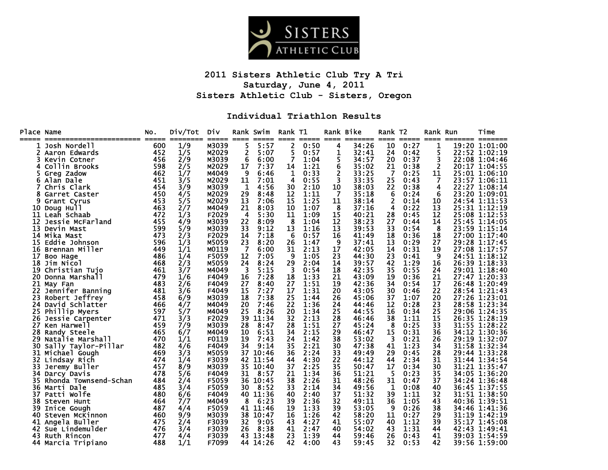

## **2011 Sisters Athletic Club Try A Tri Saturday, June 4, 2011 Sisters Athletic Club - Sisters, Oregon**

## **Individual Triathlon Results**

| Place Name<br>===== |                       | No. | Div/Tot | Div   |    | Rank Swim | Rank T1 |      | $====$ | Rank Bike | Rank T2<br>====         |      | Rank Run       | Time          |
|---------------------|-----------------------|-----|---------|-------|----|-----------|---------|------|--------|-----------|-------------------------|------|----------------|---------------|
|                     | Josh Nordell          | 600 | 1/9     | M3039 | 5  | 5:57      | 2       | 0:50 | 4      | 34:26     | 10                      | 0:27 | 1              | 19:20 1:01:00 |
|                     | Aaron Edwards         | 452 | 1/5     | M2029 | 2  | 5:07      | 5       | 0:57 | 1      | 32:41     | 24                      | 0:42 | 5              | 22:52 1:02:19 |
|                     | Kevin Cotner          | 456 | 2/9     | M3039 | 6  | 6:00      | 7       | 1:04 | 5      | 34:57     | 20                      | 0:37 | 3              | 22:08 1:04:46 |
|                     | Collin Brooks         | 598 | 2/5     | M2029 | 17 | 7:37      | 14      | 1:21 | 6      | 35:02     | 21                      | 0:38 | $\overline{2}$ | 20:17 1:04:55 |
|                     | Greg Zadow            | 462 | 1/7     | M4049 | 9  | 6:46      | 1       | 0:33 | 2      | 33:25     | -7                      | 0:25 | 11             | 25:01 1:06:10 |
| 6                   | Alan Dale             | 451 | 3/5     | M2029 | 11 | 7:01      | 4       | 0:55 | 3      | 33:35     | 25                      | 0:43 | 7              | 23:57 1:06:11 |
|                     | Chris Clark           | 454 | 3/9     | M3039 | 1  | 4:56      | 30      | 2:10 | 10     | 38:03     | 22                      | 0:38 | 4              | 22:27 1:08:14 |
|                     | Garret Caster         | 450 | 4/5     | M2029 | 29 | 8:48      | 12      | 1:11 | 7      | 35:18     | 6                       | 0:24 | 6              | 23:20 1:09:01 |
| 9                   | Grant Cyrus           | 453 | 5/5     | M2029 | 13 | 7:06      | 15      | 1:25 | 11     | 38:14     | 2                       | 0:14 | 10             | 24:54 1:11:53 |
| 10                  | Doug Hull             | 463 | 2/7     | M4049 | 21 | 8:03      | 10      | 1:07 | 8      | 37:16     | 4                       | 0:22 | 13             | 25:31 1:12:19 |
| 11                  | Leah Schaab           | 472 | 1/3     | F2029 | 4  | 5:30      | 11      | 1:09 | 15     | 40:21     | 28                      | 0:45 | 12             | 25:08 1:12:53 |
| 12                  | Jessie McFarland      | 455 | 4/9     | M3039 | 22 | 8:09      | 8       | 1:04 | 12     | 38:23     | 27                      | 0:44 | 14             | 25:45 1:14:05 |
| 13                  | Devin Mast            | 599 | 5/9     | M3039 | 33 | 9:12      | 13      | 1:16 | 13     | 39:53     | 33                      | 0:54 | 8              | 23:59 1:15:14 |
| 14                  | Mika Mast             | 473 | 2/3     | F2029 | 14 | 7:18      | 6       | 0:57 | 16     | 41:49     | 18                      | 0:36 | 18             | 27:00 1:17:40 |
| 15                  | Eddie Johnson         | 596 | 1/3     | M5059 | 23 | 8:20      | 26      | 1:47 | 9      | 37:41     | 13                      | 0:29 | 27             | 29:28 1:17:45 |
| 16                  | Brennan Miller        | 449 | 1/1     | M0119 | 7  | 6:00      | 31      | 2:13 | 17     | 42:05     | 14                      | 0:31 | 19             | 27:08 1:17:57 |
| 17                  | Boo Hage              | 486 | 1/4     | F5059 | 12 | 7:05      | 9       | 1:05 | 23     | 44:30     | 23                      | 0:41 | 9              | 24:51 1:18:12 |
| 18                  | Jim Nicol             | 468 | 2/3     | M5059 | 24 | 8:24      | 29      | 2:04 | 14     | 39:57     | 42                      | 1:29 | 16             | 26:39 1:18:33 |
| 19                  | Christian Tujo        | 461 | 3/7     | M4049 | 3  | 5:15      | 3       | 0:54 | 18     | 42:35     | 35                      | 0:55 | 24             | 29:01 1:18:40 |
| 20                  | Donna Marshall        | 479 | 1/6     | F4049 | 16 | 7:28      | 18      | 1:33 | 21     | 43:09     | 19                      | 0:36 | 21             | 27:47 1:20:33 |
| 21                  | May Fan               | 483 | 2/6     | F4049 | 27 | 8:40      | 27      | 1:51 | 19     | 42:36     | 34                      | 0:54 | 17             | 26:48 1:20:49 |
| 22                  | Jennifer Banning      | 481 | 3/6     | F4049 | 15 | 7:27      | 17      | 1:31 | 20     | 43:05     | 30                      | 0:46 | 22             | 28:54 1:21:43 |
| 23                  | Robert Jeffrey        | 458 | 6/9     | M3039 | 18 | 7:38      | 25      | 1:44 | 26     | 45:06     | 37                      | 1:07 | 20             | 27:26 1:23:01 |
| 24                  | David Schlatter       | 466 | 4/7     | M4049 | 20 | 7:46      | 22      | 1:36 | 24     | 44:46     | 12                      | 0:28 | 23             | 28:58 1:23:34 |
| 25                  | Phillip Myers         | 597 | 5/7     | M4049 | 25 | 8:26      | 20      | 1:34 | 25     | 44:55     | 16                      | 0:34 | 25             | 29:06 1:24:35 |
| 26                  | Jessie Carpenter      | 471 | 3/3     | F2029 | 39 | 11:34     | 32      | 2:13 | 28     | 46:46     | 38                      | 1:11 | 15             | 26:35 1:28:19 |
| 27                  | Ken Harwell           | 459 | 7/9     | M3039 | 28 | 8:47      | 28      | 1:51 | 27     | 45:24     | 8                       | 0:25 | 33             | 31:55 1:28:22 |
| 28                  | Randy Steele          | 465 | 6/7     | M4049 | 10 | 6:51      | 34      | 2:15 | 29     | 46:47     | 15                      | 0:31 | 36             | 34:12 1:30:36 |
| 29                  | Natalie Marshall      | 470 | 1/1     | F0119 | 19 | 7:43      | 24      | 1:42 | 38     | 53:02     | $\overline{\mathbf{3}}$ | 0:21 | 26             | 29:19 1:32:07 |
| 30                  | Sally Taylor-Pillar   | 482 | 4/6     | F4049 | 34 | 9:14      | 35      | 2:21 | 30     | 47:38     | 41                      | 1:23 | 34             | 31:58 1:32:34 |
| 31                  | Michael Gough         | 469 | 3/3     | M5059 | 37 | 10:46     | 36      | 2:24 | 33     | 49:49     | 29                      | 0:45 | 28             | 29:44 1:33:28 |
| 32.                 | Lindsay Rich          | 474 | 1/4     | F3039 | 42 | 11:54     | 44      | 4:30 | 22     | 44:12     | 44                      | 2:34 | 31             | 31:44 1:34:54 |
| 33                  | Jeremy Buller         | 457 | 8/9     | M3039 |    | 35 10:40  | 37      | 2:25 | 35     | 50:47     | 17                      | 0:34 | 30             | 31:21 1:35:47 |
| 34                  | Darcy Davis           | 478 | 5/6     | F4049 | 31 | 8:57      | 21      | 1:34 | 36     | 51:21     | 5                       | 0:23 | 35             | 34:05 1:36:20 |
| 35                  | Rhonda Townsend-Schan | 484 | 2/4     | F5059 | 36 | 10:45     | 38      | 2:26 | 31     | 48:26     | 31                      | 0:47 | 37             | 34:24 1:36:48 |
| 36                  | Marti Dale            | 485 | 3/4     | F5059 | 30 | 8:52      | 33      | 2:14 | 34     | 49:56     | 1                       | 0:08 | 40             | 36:45 1:37:55 |
| 37                  | Patti Wolfe           | 480 | 6/6     | F4049 | 40 | 11:36     | 40      | 2:40 | 37     | 51:32     | 39                      | 1:11 | 32             | 31:51 1:38:50 |
| 38                  | Steven Hunt           | 464 | 7/7     | M4049 | 8  | 6:23      | 39      | 2:36 | 32     | 49:11     | 36                      | 1:05 | 43             | 40:36 1:39:51 |
| 39                  | Inice Gough           | 487 | 4/4     | F5059 | 41 | 11:46     | 19      | 1:33 | 39     | 53:05     | 9                       | 0:26 | 38             | 34:46 1:41:36 |
| 40.                 | Steven McKinnon       | 460 | 9/9     | M3039 | 38 | 10:47     | 16      | 1:26 | 42     | 58:20     | 11                      | 0:27 | 29             | 31:19 1:42:19 |
| 41                  | Angela Buller         | 475 | 2/4     | F3039 | 32 | 9:05      | 43      | 4:27 | 41     | 55:07     | 40                      | 1:12 | 39             | 35:17 1:45:08 |
| 42                  | Sue Lindemulder       | 476 | 3/4     | F3039 | 26 | 8:38      | 41      | 2:47 | 40     | 54:02     | 43                      | 1:31 | 44             | 42:43 1:49:41 |
| 43                  | Ruth Rincon           | 477 | 4/4     | F3039 | 43 | 13:48     | 23      | 1:39 | 44     | 59:46     | 26                      | 0:43 | 41             | 39:03 1:54:59 |
|                     | 44 Marcia Tripiano    | 488 | 1/1     | F7099 | 44 | 14:26     | 42      | 4:00 | 43     | 59:45     | 32                      | 0:53 | 42             | 39:56 1:59:00 |